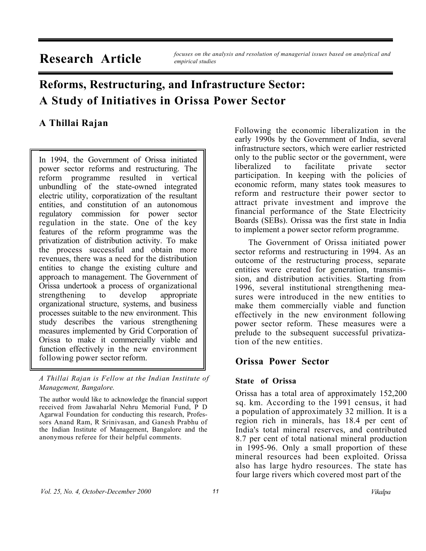**Research Article** *focuses on the analysis and resolution of managerial issues based on analytical and empirical studies*

# **Reforms, Restructuring, and Infrastructure Sector: A Study of Initiatives in Orissa Power Sector**

# **A Thillai Rajan**

In 1994, the Government of Orissa initiated power sector reforms and restructuring. The reform programme resulted in vertical unbundling of the state-owned integrated electric utility, corporatization of the resultant entities, and constitution of an autonomous regulatory commission for power sector regulation in the state. One of the key features of the reform programme was the privatization of distribution activity. To make the process successful and obtain more revenues, there was a need for the distribution entities to change the existing culture and approach to management. The Government of Orissa undertook a process of organizational strengthening to develop appropriate organizational structure, systems, and business processes suitable to the new environment. This study describes the various strengthening measures implemented by Grid Corporation of Orissa to make it commercially viable and function effectively in the new environment following power sector reform.

*A Thillai Rajan is Fellow at the Indian Institute of Management, Bangalore.*

The author would like to acknowledge the financial support received from Jawaharlal Nehru Memorial Fund, P D Agarwal Foundation for conducting this research, Professors Anand Ram, R Srinivasan, and Ganesh Prabhu of the Indian Institute of Management, Bangalore and the anonymous referee for their helpful comments.

Following the economic liberalization in the early 1990s by the Government of India, several infrastructure sectors, which were earlier restricted only to the public sector or the government, were liberalized to facilitate private sector participation. In keeping with the policies of economic reform, many states took measures to reform and restructure their power sector to attract private investment and improve the financial performance of the State Electricity Boards (SEBs). Orissa was the first state in India to implement a power sector reform programme.

The Government of Orissa initiated power sector reforms and restructuring in 1994. As an outcome of the restructuring process, separate entities were created for generation, transmission, and distribution activities. Starting from 1996, several institutional strengthening measures were introduced in the new entities to make them commercially viable and function effectively in the new environment following power sector reform. These measures were a prelude to the subsequent successful privatization of the new entities.

# **Orissa Power Sector**

#### **State of Orissa**

Orissa has a total area of approximately 152,200 sq. km. According to the 1991 census, it had a population of approximately 32 million. It is a region rich in minerals, has 18.4 per cent of India's total mineral reserves, and contributed 8.7 per cent of total national mineral production in 1995-96. Only a small proportion of these mineral resources had been exploited. Orissa also has large hydro resources. The state has four large rivers which covered most part of the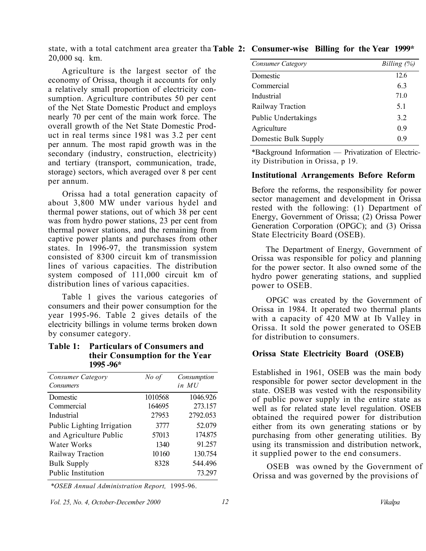state, with a total catchment area greater tha **Table 2: Consumer-wise Billing for the Year 1999\*** 20,000 sq. km.

Agriculture is the largest sector of the economy of Orissa, though it accounts for only a relatively small proportion of electricity consumption. Agriculture contributes 50 per cent of the Net State Domestic Product and employs nearly 70 per cent of the main work force. The overall growth of the Net State Domestic Product in real terms since 1981 was 3.2 per cent per annum. The most rapid growth was in the secondary (industry, construction, electricity) and tertiary (transport, communication, trade, storage) sectors, which averaged over 8 per cent per annum.

Orissa had a total generation capacity of about 3,800 MW under various hydel and thermal power stations, out of which 38 per cent was from hydro power stations, 23 per cent from thermal power stations, and the remaining from captive power plants and purchases from other states. In 1996-97, the transmission system consisted of 8300 circuit km of transmission lines of various capacities. The distribution system composed of 111,000 circuit km of distribution lines of various capacities.

Table 1 gives the various categories of consumers and their power consumption for the year 1995-96. Table 2 gives details of the electricity billings in volume terms broken down by consumer category.

#### **Table 1: Particulars of Consumers and their Consumption for the Year 1995 -96\***

| <b>Consumer Category</b>   | No of   | Consumption |
|----------------------------|---------|-------------|
| Consumers                  |         | in MU       |
| Domestic                   | 1010568 | 1046.926    |
| Commercial                 | 164695  | 273.157     |
| Industrial                 | 27953   | 2792.053    |
| Public Lighting Irrigation | 3777    | 52.079      |
| and Agriculture Public     | 57013   | 174.875     |
| Water Works                | 1340    | 91.257      |
| Railway Traction           | 10160   | 130.754     |
| <b>Bulk Supply</b>         | 8328    | 544.496     |
| <b>Public Institution</b>  |         | 73.297      |

*\*OSEB Annual Administration Report,* 1995-96.

*Vol. 25, No. 4, October-December 2000 12 Vikalpa* 

| Consumer Category          | Billing $(\%)$ |
|----------------------------|----------------|
| Domestic                   | 12.6           |
| Commercial                 | 6.3            |
| Industrial                 | 71.0           |
| Railway Traction           | 5.1            |
| <b>Public Undertakings</b> | 3.2            |
| Agriculture                | 0.9            |
| Domestic Bulk Supply       | 0.9            |

\*Background Information — Privatization of Electricity Distribution in Orissa, p 19.

#### **Institutional Arrangements Before Reform**

Before the reforms, the responsibility for power sector management and development in Orissa rested with the following: (1) Department of Energy, Government of Orissa; (2) Orissa Power Generation Corporation (OPGC); and (3) Orissa State Electricity Board (OSEB).

The Department of Energy, Government of Orissa was responsible for policy and planning for the power sector. It also owned some of the hydro power generating stations, and supplied power to OSEB.

OPGC was created by the Government of Orissa in 1984. It operated two thermal plants with a capacity of 420 MW at Ib Valley in Orissa. It sold the power generated to OSEB for distribution to consumers.

#### **Orissa State Electricity Board (OSEB)**

Established in 1961, OSEB was the main body responsible for power sector development in the state. OSEB was vested with the responsibility of public power supply in the entire state as well as for related state level regulation. OSEB obtained the required power for distribution either from its own generating stations or by purchasing from other generating utilities. By using its transmission and distribution network, it supplied power to the end consumers.

OSEB was owned by the Government of Orissa and was governed by the provisions of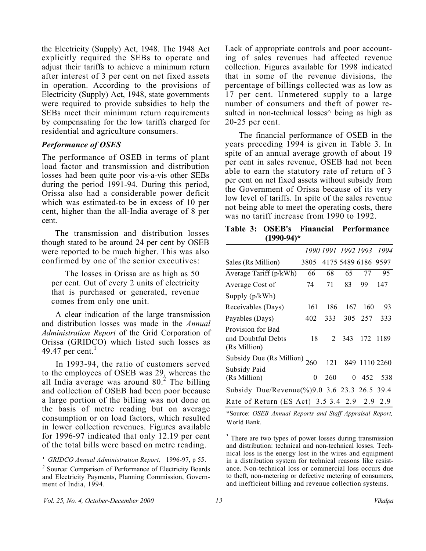the Electricity (Supply) Act, 1948. The 1948 Act explicitly required the SEBs to operate and adjust their tariffs to achieve a minimum return after interest of 3 per cent on net fixed assets in operation. According to the provisions of Electricity (Supply) Act, 1948, state governments were required to provide subsidies to help the SEBs meet their minimum return requirements by compensating for the low tariffs charged for residential and agriculture consumers.

#### *Performance of OSES*

The performance of OSEB in terms of plant load factor and transmission and distribution losses had been quite poor vis-a-vis other SEBs during the period 1991-94. During this period, Orissa also had a considerable power deficit which was estimated-to be in excess of 10 per cent, higher than the all-India average of 8 per cent.

The transmission and distribution losses though stated to be around 24 per cent by OSEB were reported to be much higher. This was also confirmed by one of the senior executives:

The losses in Orissa are as high as 50 per cent. Out of every 2 units of electricity that is purchased or generated, revenue comes from only one unit.

A clear indication of the large transmission and distribution losses was made in the *Annual Administration Report* of the Grid Corporation of Orissa (GRIDCO) which listed such losses as 49.47 per cent. $<sup>1</sup>$ </sup>

In 1993-94, the ratio of customers served to the employees of OSEB was 29, whereas the all India average was around  $80<sup>2</sup>$  The billing and collection of OSEB had been poor because a large portion of the billing was not done on the basis of metre reading but on average consumption or on load factors, which resulted in lower collection revenues. Figures available for 1996-97 indicated that only 12.19 per cent of the total bills were based on metre reading.

' *GRIDCO Annual Administration Report,* 1996-97, p 55.

*2* Source: Comparison of Performance of Electricity Boards and Electricity Payments, Planning Commission, Government of India, 1994.

Lack of appropriate controls and poor accounting of sales revenues had affected revenue collection. Figures available for 1998 indicated that in some of the revenue divisions, the percentage of billings collected was as low as 17 per cent. Unmetered supply to a large number of consumers and theft of power resulted in non-technical losses $\wedge$  being as high as 20-25 per cent.

The financial performance of OSEB in the years preceding 1994 is given in Table 3. In spite of an annual average growth of about 19 per cent in sales revenue, OSEB had not been able to earn the statutory rate of return of 3 per cent on net fixed assets without subsidy from the Government of Orissa because of its very low level of tariffs. In spite of the sales revenue not being able to meet the operating costs, there was no tariff increase from 1990 to 1992.

**Table 3: OSEB's Financial Performance (1990-94)\***

|                                                         |      |     | 1990 1991 1992 1993 |                     | 1994 |
|---------------------------------------------------------|------|-----|---------------------|---------------------|------|
| Sales (Rs Million)                                      | 3805 |     |                     | 4175 5489 6186 9597 |      |
| Average Tariff (p/kWh)                                  | 66   | 68  | 65                  | 77                  | 95   |
| Average Cost of                                         | 74   | 71  | 83                  | 99                  | 147  |
| Supply $(p/kWh)$                                        |      |     |                     |                     |      |
| Receivables (Days)                                      | 161  | 186 | 167                 | 160                 | 93   |
| Payables (Days)                                         | 402  | 333 | 305                 | 257                 | 333  |
| Provision for Bad<br>and Doubtful Debts<br>(Rs Million) | 18   | 2   | 343                 | 172                 | 1189 |
| Subsidy Due (Rs Million) $260$<br>Subsidy Paid          |      | 121 |                     | 849 1110 2260       |      |
| (Rs Million)                                            | 0    | 260 | 0                   | 452                 | 538  |
| Subsidy Due/Revenue(%)9.0 3.6 23.3 26.5 39.4            |      |     |                     |                     |      |
| Rate of Return (ES Act) 3.5 3.4 2.9 2.9 2.9             |      |     |                     |                     |      |

\*Source: *OSEB Annual Reports and Staff Appraisal Report,*  World Bank.

<sup>3</sup> There are two types of power losses during transmission and distribution: technical and non-technical losses. Technical loss is the energy lost in the wires and equipment in a distribution system for technical reasons like resistance. Non-technical loss or commercial loss occurs due to theft, non-metering or defective metering of consumers, and inefficient billing and revenue collection systems.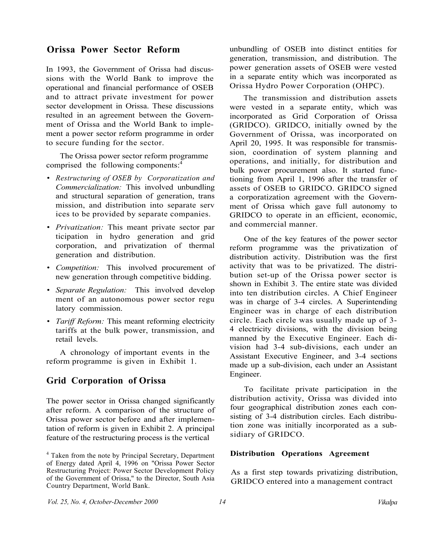#### **Orissa Power Sector Reform**

In 1993, the Government of Orissa had discussions with the World Bank to improve the operational and financial performance of OSEB and to attract private investment for power sector development in Orissa. These discussions resulted in an agreement between the Government of Orissa and the World Bank to implement a power sector reform programme in order to secure funding for the sector.

The Orissa power sector reform programme comprised the following components:<sup>4</sup>

- ï *Restructuring of OSEB by Corporatization and Commercialization:* This involved unbundling and structural separation of generation, trans mission, and distribution into separate serv ices to be provided by separate companies.
- *Privatization:* This meant private sector par ticipation in hydro generation and grid corporation, and privatization of thermal generation and distribution.
- ï *Competition:* This involved procurement of new generation through competitive bidding.
- ï *Separate Regulation:* This involved develop ment of an autonomous power sector regu latory commission.
- *Tariff Reform:* This meant reforming electricity tariffs at the bulk power, transmission, and retail levels.

A chronology of important events in the reform programme is given in Exhibit 1.

### **Grid Corporation of Orissa**

The power sector in Orissa changed significantly after reform. A comparison of the structure of Orissa power sector before and after implementation of reform is given in Exhibit 2. A principal feature of the restructuring process is the vertical

unbundling of OSEB into distinct entities for generation, transmission, and distribution. The power generation assets of OSEB were vested in a separate entity which was incorporated as Orissa Hydro Power Corporation (OHPC).

The transmission and distribution assets were vested in a separate entity, which was incorporated as Grid Corporation of Orissa (GRIDCO). GRIDCO, initially owned by the Government of Orissa, was incorporated on April 20, 1995. It was responsible for transmission, coordination of system planning and operations, and initially, for distribution and bulk power procurement also. It started functioning from April 1, 1996 after the transfer of assets of OSEB to GRIDCO. GRIDCO signed a corporatization agreement with the Government of Orissa which gave full autonomy to GRIDCO to operate in an efficient, economic, and commercial manner.

One of the key features of the power sector reform programme was the privatization of distribution activity. Distribution was the first activity that was to be privatized. The distribution set-up of the Orissa power sector is shown in Exhibit 3. The entire state was divided into ten distribution circles. A Chief Engineer was in charge of 3-4 circles. A Superintending Engineer was in charge of each distribution circle. Each circle was usually made up of 3- 4 electricity divisions, with the division being manned by the Executive Engineer. Each division had 3-4 sub-divisions, each under an Assistant Executive Engineer, and 3-4 sections made up a sub-division, each under an Assistant Engineer.

To facilitate private participation in the distribution activity, Orissa was divided into four geographical distribution zones each consisting of 3-4 distribution circles. Each distribution zone was initially incorporated as a subsidiary of GRIDCO.

#### **Distribution Operations Agreement**

As a first step towards privatizing distribution, GRIDCO entered into a management contract

*Vol. 25, No. 4, October-December 2000 14 Vikalpa* 

<sup>&</sup>lt;sup>4</sup> Taken from the note by Principal Secretary, Department of Energy dated April 4, 1996 on "Orissa Power Sector Restructuring Project: Power Sector Development Policy of the Government of Orissa," to the Director, South Asia Country Department, World Bank.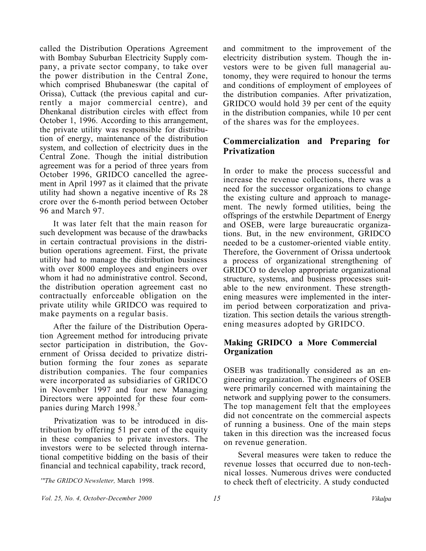called the Distribution Operations Agreement with Bombay Suburban Electricity Supply company, a private sector company, to take over the power distribution in the Central Zone, which comprised Bhubaneswar (the capital of Orissa), Cuttack (the previous capital and currently a major commercial centre), and Dhenkanal distribution circles with effect from October 1, 1996. According to this arrangement, the private utility was responsible for distribution of energy, maintenance of the distribution system, and collection of electricity dues in the Central Zone. Though the initial distribution agreement was for a period of three years from October 1996, GRIDCO cancelled the agreement in April 1997 as it claimed that the private utility had shown a negative incentive of Rs 28 crore over the 6-month period between October 96 and March 97.

It was later felt that the main reason for such development was because of the drawbacks in certain contractual provisions in the distribution operations agreement. First, the private utility had to manage the distribution business with over 8000 employees and engineers over whom it had no administrative control. Second, the distribution operation agreement cast no contractually enforceable obligation on the private utility while GRIDCO was required to make payments on a regular basis.

After the failure of the Distribution Operation Agreement method for introducing private sector participation in distribution, the Government of Orissa decided to privatize distribution forming the four zones as separate distribution companies. The four companies were incorporated as subsidiaries of GRIDCO in November 1997 and four new Managing Directors were appointed for these four companies during March 1998.<sup>5</sup>

Privatization was to be introduced in distribution by offering 51 per cent of the equity in these companies to private investors. The investors were to be selected through international competitive bidding on the basis of their financial and technical capability, track record,

and commitment to the improvement of the electricity distribution system. Though the investors were to be given full managerial autonomy, they were required to honour the terms and conditions of employment of employees of the distribution companies. After privatization, GRIDCO would hold 39 per cent of the equity in the distribution companies, while 10 per cent of the shares was for the employees.

## **Commercialization and Preparing for Privatization**

In order to make the process successful and increase the revenue collections, there was a need for the successor organizations to change the existing culture and approach to management. The newly formed utilities, being the offsprings of the erstwhile Department of Energy and OSEB, were large bureaucratic organizations. But, in the new environment, GRIDCO needed to be a customer-oriented viable entity. Therefore, the Government of Orissa undertook a process of organizational strengthening of GRIDCO to develop appropriate organizational structure, systems, and business processes suitable to the new environment. These strengthening measures were implemented in the interim period between corporatization and privatization. This section details the various strengthening measures adopted by GRIDCO.

#### **Making GRIDCO a More Commercial Organization**

OSEB was traditionally considered as an engineering organization. The engineers of OSEB were primarily concerned with maintaining the network and supplying power to the consumers. The top management felt that the employees did not concentrate on the commercial aspects of running a business. One of the main steps taken in this direction was the increased focus on revenue generation.

Several measures were taken to reduce the revenue losses that occurred due to non-technical losses. Numerous drives were conducted to check theft of electricity. A study conducted

*<sup>&#</sup>x27;"The GRIDCO Newsletter,* March 1998.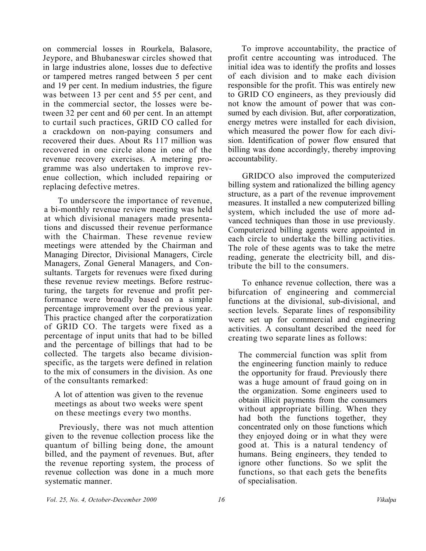on commercial losses in Rourkela, Balasore, Jeypore, and Bhubaneswar circles showed that in large industries alone, losses due to defective or tampered metres ranged between 5 per cent and 19 per cent. In medium industries, the figure was between 13 per cent and 55 per cent, and in the commercial sector, the losses were between 32 per cent and 60 per cent. In an attempt to curtail such practices, GRID CO called for a crackdown on non-paying consumers and recovered their dues. About Rs 117 million was recovered in one circle alone in one of the revenue recovery exercises. A metering programme was also undertaken to improve revenue collection, which included repairing or replacing defective metres.

To underscore the importance of revenue, a bi-monthly revenue review meeting was held at which divisional managers made presentations and discussed their revenue performance with the Chairman. These revenue review meetings were attended by the Chairman and Managing Director, Divisional Managers, Circle Managers, Zonal General Managers, and Consultants. Targets for revenues were fixed during these revenue review meetings. Before restructuring, the targets for revenue and profit performance were broadly based on a simple percentage improvement over the previous year. This practice changed after the corporatization of GRID CO. The targets were fixed as a percentage of input units that had to be billed and the percentage of billings that had to be collected. The targets also became divisionspecific, as the targets were defined in relation to the mix of consumers in the division. As one of the consultants remarked:

A lot of attention was given to the revenue meetings as about two weeks were spent on these meetings every two months.

Previously, there was not much attention given to the revenue collection process like the quantum of billing being done, the amount billed, and the payment of revenues. But, after the revenue reporting system, the process of revenue collection was done in a much more systematic manner.

To improve accountability, the practice of profit centre accounting was introduced. The initial idea was to identify the profits and losses of each division and to make each division responsible for the profit. This was entirely new to GRID CO engineers, as they previously did not know the amount of power that was consumed by each division. But, after corporatization, energy metres were installed for each division, which measured the power flow for each division. Identification of power flow ensured that billing was done accordingly, thereby improving accountability.

GRIDCO also improved the computerized billing system and rationalized the billing agency structure, as a part of the revenue improvement measures. It installed a new computerized billing system, which included the use of more advanced techniques than those in use previously. Computerized billing agents were appointed in each circle to undertake the billing activities. The role of these agents was to take the metre reading, generate the electricity bill, and distribute the bill to the consumers.

To enhance revenue collection, there was a bifurcation of engineering and commercial functions at the divisional, sub-divisional, and section levels. Separate lines of responsibility were set up for commercial and engineering activities. A consultant described the need for creating two separate lines as follows:

The commercial function was split from the engineering function mainly to reduce the opportunity for fraud. Previously there was a huge amount of fraud going on in the organization. Some engineers used to obtain illicit payments from the consumers without appropriate billing. When they had both the functions together, they concentrated only on those functions which they enjoyed doing or in what they were good at. This is a natural tendency of humans. Being engineers, they tended to ignore other functions. So we split the functions, so that each gets the benefits of specialisation.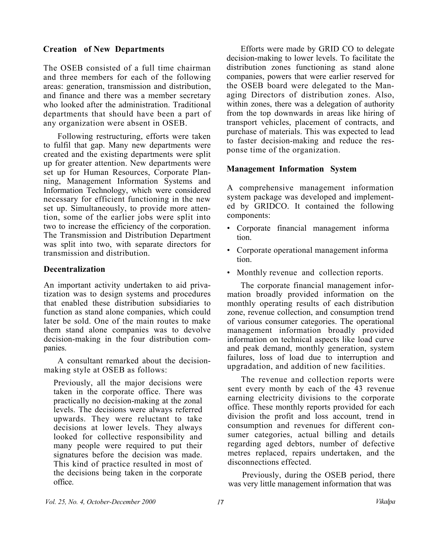#### **Creation of New Departments**

The OSEB consisted of a full time chairman and three members for each of the following areas: generation, transmission and distribution, and finance and there was a member secretary who looked after the administration. Traditional departments that should have been a part of any organization were absent in OSEB.

Following restructuring, efforts were taken to fulfil that gap. Many new departments were created and the existing departments were split up for greater attention. New departments were set up for Human Resources, Corporate Planning, Management Information Systems and Information Technology, which were considered necessary for efficient functioning in the new set up. Simultaneously, to provide more attention, some of the earlier jobs were split into two to increase the efficiency of the corporation. The Transmission and Distribution Department was split into two, with separate directors for transmission and distribution.

#### **Decentralization**

An important activity undertaken to aid privatization was to design systems and procedures that enabled these distribution subsidiaries to function as stand alone companies, which could later be sold. One of the main routes to make them stand alone companies was to devolve decision-making in the four distribution companies.

A consultant remarked about the decisionmaking style at OSEB as follows:

Previously, all the major decisions were taken in the corporate office. There was practically no decision-making at the zonal levels. The decisions were always referred upwards. They were reluctant to take decisions at lower levels. They always looked for collective responsibility and many people were required to put their signatures before the decision was made. This kind of practice resulted in most of the decisions being taken in the corporate office.

Efforts were made by GRID CO to delegate decision-making to lower levels. To facilitate the distribution zones functioning as stand alone companies, powers that were earlier reserved for the OSEB board were delegated to the Managing Directors of distribution zones. Also, within zones, there was a delegation of authority from the top downwards in areas like hiring of transport vehicles, placement of contracts, and purchase of materials. This was expected to lead to faster decision-making and reduce the response time of the organization.

#### **Management Information System**

A comprehensive management information system package was developed and implemented by GRIDCO. It contained the following components:

- Corporate financial management informa tion.
- Corporate operational management informa tion.
- Monthly revenue and collection reports.

The corporate financial management information broadly provided information on the monthly operating results of each distribution zone, revenue collection, and consumption trend of various consumer categories. The operational management information broadly provided information on technical aspects like load curve and peak demand, monthly generation, system failures, loss of load due to interruption and upgradation, and addition of new facilities.

The revenue and collection reports were sent every month by each of the 43 revenue earning electricity divisions to the corporate office. These monthly reports provided for each division the profit and loss account, trend in consumption and revenues for different consumer categories, actual billing and details regarding aged debtors, number of defective metres replaced, repairs undertaken, and the disconnections effected.

Previously, during the OSEB period, there was very little management information that was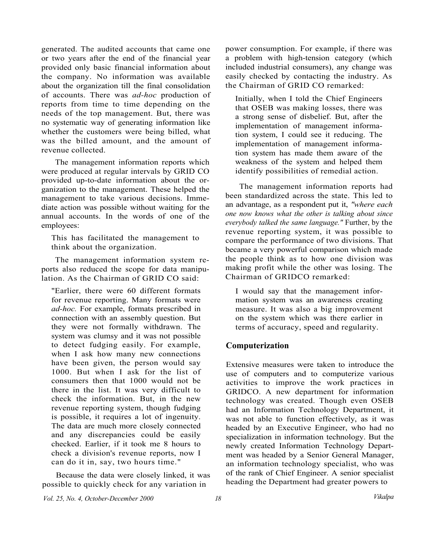generated. The audited accounts that came one or two years after the end of the financial year provided only basic financial information about the company. No information was available about the organization till the final consolidation of accounts. There was *ad-hoc* production of reports from time to time depending on the needs of the top management. But, there was no systematic way of generating information like whether the customers were being billed, what was the billed amount, and the amount of revenue collected.

The management information reports which were produced at regular intervals by GRID CO provided up-to-date information about the organization to the management. These helped the management to take various decisions. Immediate action was possible without waiting for the annual accounts. In the words of one of the employees:

This has facilitated the management to think about the organization.

The management information system reports also reduced the scope for data manipulation. As the Chairman of GRID CO said:

"Earlier, there were 60 different formats for revenue reporting. Many formats were *ad-hoc.* For example, formats prescribed in connection with an assembly question. But they were not formally withdrawn. The system was clumsy and it was not possible to detect fudging easily. For example, when I ask how many new connections have been given, the person would say 1000. But when I ask for the list of consumers then that 1000 would not be there in the list. It was very difficult to check the information. But, in the new revenue reporting system, though fudging is possible, it requires a lot of ingenuity. The data are much more closely connected and any discrepancies could be easily checked. Earlier, if it took me 8 hours to check a division's revenue reports, now I can do it in, say, two hours time."

Because the data were closely linked, it was possible to quickly check for any variation in

power consumption. For example, if there was a problem with high-tension category (which included industrial consumers), any change was easily checked by contacting the industry. As the Chairman of GRID CO remarked:

Initially, when I told the Chief Engineers that OSEB was making losses, there was a strong sense of disbelief. But, after the implementation of management information system, I could see it reducing. The implementation of management information system has made them aware of the weakness of the system and helped them identify possibilities of remedial action.

The management information reports had been standardized across the state. This led to an advantage, as a respondent put it, *"where each one now knows what the other is talking about since everybody talked the same language."* Further, by the revenue reporting system, it was possible to compare the performance of two divisions. That became a very powerful comparison which made the people think as to how one division was making profit while the other was losing. The Chairman of GRIDCO remarked:

I would say that the management information system was an awareness creating measure. It was also a big improvement on the system which was there earlier in terms of accuracy, speed and regularity.

#### **Computerization**

Extensive measures were taken to introduce the use of computers and to computerize various activities to improve the work practices in GRIDCO. A new department for information technology was created. Though even OSEB had an Information Technology Department, it was not able to function effectively, as it was headed by an Executive Engineer, who had no specialization in information technology. But the newly created Information Technology Department was headed by a Senior General Manager, an information technology specialist, who was of the rank of Chief Engineer. A senior specialist heading the Department had greater powers to

*Vol. 25, No. 4, October-December 2000 18*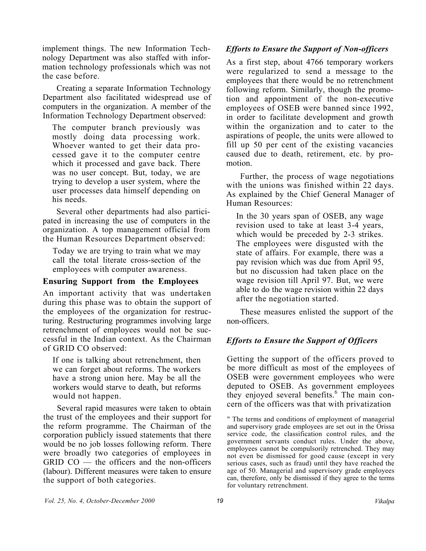implement things. The new Information Technology Department was also staffed with information technology professionals which was not the case before.

Creating a separate Information Technology Department also facilitated widespread use of computers in the organization. A member of the Information Technology Department observed:

The computer branch previously was mostly doing data processing work. Whoever wanted to get their data processed gave it to the computer centre which it processed and gave back. There was no user concept. But, today, we are trying to develop a user system, where the user processes data himself depending on his needs.

Several other departments had also participated in increasing the use of computers in the organization. A top management official from the Human Resources Department observed:

Today we are trying to train what we may call the total literate cross-section of the employees with computer awareness.

#### **Ensuring Support from the Employees**

An important activity that was undertaken during this phase was to obtain the support of the employees of the organization for restructuring. Restructuring programmes involving large retrenchment of employees would not be successful in the Indian context. As the Chairman of GRID CO observed:

If one is talking about retrenchment, then we can forget about reforms. The workers have a strong union here. May be all the workers would starve to death, but reforms would not happen.

Several rapid measures were taken to obtain the trust of the employees and their support for the reform programme. The Chairman of the corporation publicly issued statements that there would be no job losses following reform. There were broadly two categories of employees in GRID CO — the officers and the non-officers (labour). Different measures were taken to ensure the support of both categories.

#### *Efforts to Ensure the Support of Non-officers*

As a first step, about 4766 temporary workers were regularized to send a message to the employees that there would be no retrenchment following reform. Similarly, though the promotion and appointment of the non-executive employees of OSEB were banned since 1992, in order to facilitate development and growth within the organization and to cater to the aspirations of people, the units were allowed to fill up 50 per cent of the existing vacancies caused due to death, retirement, etc. by promotion.

Further, the process of wage negotiations with the unions was finished within 22 days. As explained by the Chief General Manager of Human Resources:

In the 30 years span of OSEB, any wage revision used to take at least 3-4 years, which would be preceded by 2-3 strikes. The employees were disgusted with the state of affairs. For example, there was a pay revision which was due from April 95, but no discussion had taken place on the wage revision till April 97. But, we were able to do the wage revision within 22 days after the negotiation started.

These measures enlisted the support of the non-officers.

### *Efforts to Ensure the Support of Officers*

Getting the support of the officers proved to be more difficult as most of the employees of OSEB were government employees who were deputed to OSEB. As government employees they enjoyed several benefits.<sup>6</sup> The main concern of the officers was that with privatization

" The terms and conditions of employment of managerial and supervisory grade employees are set out in the Orissa service code, the classification control rules, and the government servants conduct rules. Under the above, employees cannot be compulsorily retrenched. They may not even be dismissed for good cause (except in very serious cases, such as fraud) until they have reached the age of 50. Managerial and supervisory grade employees can, therefore, only be dismissed if they agree to the terms for voluntary retrenchment.

*Vol. 25, No. 4, October-December 2000 19 Vikalpa*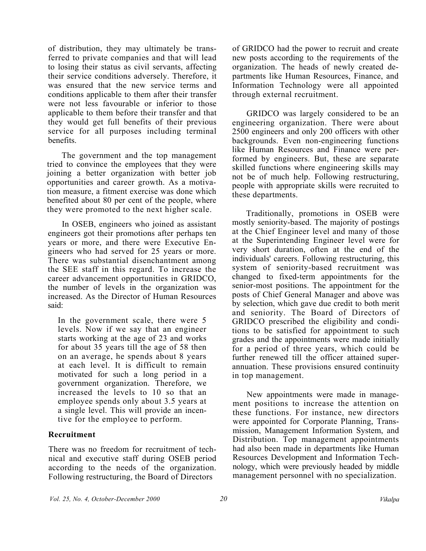of distribution, they may ultimately be transferred to private companies and that will lead to losing their status as civil servants, affecting their service conditions adversely. Therefore, it was ensured that the new service terms and conditions applicable to them after their transfer were not less favourable or inferior to those applicable to them before their transfer and that they would get full benefits of their previous service for all purposes including terminal benefits.

The government and the top management tried to convince the employees that they were joining a better organization with better job opportunities and career growth. As a motivation measure, a fitment exercise was done which benefited about 80 per cent of the people, where they were promoted to the next higher scale.

In OSEB, engineers who joined as assistant engineers got their promotions after perhaps ten years or more, and there were Executive Engineers who had served for 25 years or more. There was substantial disenchantment among the SEE staff in this regard. To increase the career advancement opportunities in GRIDCO, the number of levels in the organization was increased. As the Director of Human Resources said:

In the government scale, there were 5 levels. Now if we say that an engineer starts working at the age of 23 and works for about 35 years till the age of 58 then on an average, he spends about 8 years at each level. It is difficult to remain motivated for such a long period in a government organization. Therefore, we increased the levels to 10 so that an employee spends only about 3.5 years at a single level. This will provide an incentive for the employee to perform.

#### **Recruitment**

There was no freedom for recruitment of technical and executive staff during OSEB period according to the needs of the organization. Following restructuring, the Board of Directors

of GRIDCO had the power to recruit and create new posts according to the requirements of the organization. The heads of newly created departments like Human Resources, Finance, and Information Technology were all appointed through external recruitment.

GRIDCO was largely considered to be an engineering organization. There were about 2500 engineers and only 200 officers with other backgrounds. Even non-engineering functions like Human Resources and Finance were performed by engineers. But, these are separate skilled functions where engineering skills may not be of much help. Following restructuring, people with appropriate skills were recruited to these departments.

Traditionally, promotions in OSEB were mostly seniority-based. The majority of postings at the Chief Engineer level and many of those at the Superintending Engineer level were for very short duration, often at the end of the individuals' careers. Following restructuring, this system of seniority-based recruitment was changed to fixed-term appointments for the senior-most positions. The appointment for the posts of Chief General Manager and above was by selection, which gave due credit to both merit and seniority. The Board of Directors of GRIDCO prescribed the eligibility and conditions to be satisfied for appointment to such grades and the appointments were made initially for a period of three years, which could be further renewed till the officer attained superannuation. These provisions ensured continuity in top management.

New appointments were made in management positions to increase the attention on these functions. For instance, new directors were appointed for Corporate Planning, Transmission, Management Information System, and Distribution. Top management appointments had also been made in departments like Human Resources Development and Information Technology, which were previously headed by middle management personnel with no specialization.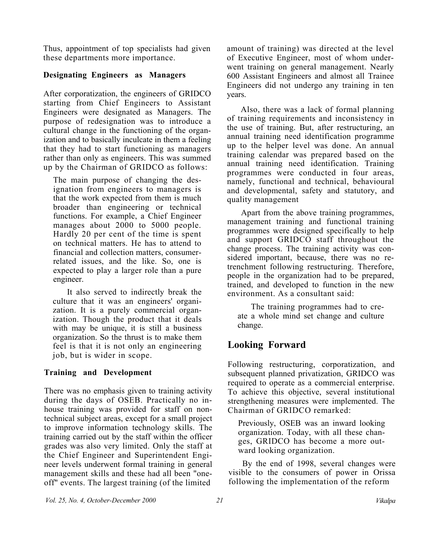Thus, appointment of top specialists had given these departments more importance.

#### **Designating Engineers as Managers**

After corporatization, the engineers of GRIDCO starting from Chief Engineers to Assistant Engineers were designated as Managers. The purpose of redesignation was to introduce a cultural change in the functioning of the organization and to basically inculcate in them a feeling that they had to start functioning as managers rather than only as engineers. This was summed up by the Chairman of GRIDCO as follows:

The main purpose of changing the designation from engineers to managers is that the work expected from them is much broader than engineering or technical functions. For example, a Chief Engineer manages about 2000 to 5000 people. Hardly 20 per cent of the time is spent on technical matters. He has to attend to financial and collection matters, consumerrelated issues, and the like. So, one is expected to play a larger role than a pure engineer.

It also served to indirectly break the culture that it was an engineers' organization. It is a purely commercial organization. Though the product that it deals with may be unique, it is still a business organization. So the thrust is to make them feel is that it is not only an engineering job, but is wider in scope.

### **Training and Development**

There was no emphasis given to training activity during the days of OSEB. Practically no inhouse training was provided for staff on nontechnical subject areas, except for a small project to improve information technology skills. The training carried out by the staff within the officer grades was also very limited. Only the staff at the Chief Engineer and Superintendent Engineer levels underwent formal training in general management skills and these had all been "oneoff" events. The largest training (of the limited

amount of training) was directed at the level of Executive Engineer, most of whom underwent training on general management. Nearly 600 Assistant Engineers and almost all Trainee Engineers did not undergo any training in ten years.

Also, there was a lack of formal planning of training requirements and inconsistency in the use of training. But, after restructuring, an annual training need identification programme up to the helper level was done. An annual training calendar was prepared based on the annual training need identification. Training programmes were conducted in four areas, namely, functional and technical, behavioural and developmental, safety and statutory, and quality management

Apart from the above training programmes, management training and functional training programmes were designed specifically to help and support GRIDCO staff throughout the change process. The training activity was considered important, because, there was no retrenchment following restructuring. Therefore, people in the organization had to be prepared, trained, and developed to function in the new environment. As a consultant said:

The training programmes had to create a whole mind set change and culture change.

# **Looking Forward**

Following restructuring, corporatization, and subsequent planned privatization, GRIDCO was required to operate as a commercial enterprise. To achieve this objective, several institutional strengthening measures were implemented. The Chairman of GRIDCO remarked:

Previously, OSEB was an inward looking organization. Today, with all these changes, GRIDCO has become a more outward looking organization.

By the end of 1998, several changes were visible to the consumers of power in Orissa following the implementation of the reform

*Vol. 25, No. 4, October-December 2000 21 Vikalpa*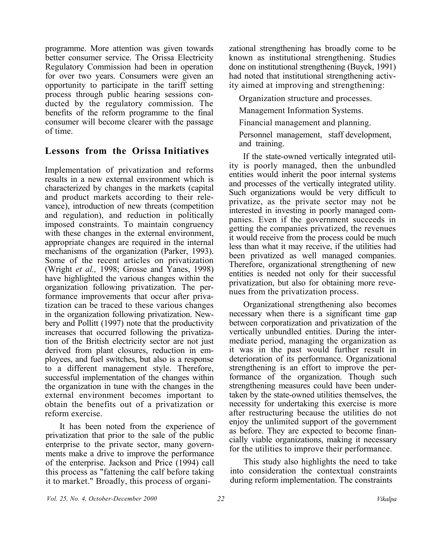programme. More attention was given towards better consumer service. The Orissa Electricity Regulatory Commission had been in operation for over two years. Consumers were given an opportunity to participate in the tariff setting process through public hearing sessions conducted by the regulatory commission. The benefits of the reform programme to the final consumer will become clearer with the passage of time.

# **Lessons from the Orissa Initiatives**

Implementation of privatization and reforms results in a new external environment which is characterized by changes in the markets (capital and product markets according to their relevance), introduction of new threats (competition and regulation), and reduction in politically imposed constraints. To maintain congruency with these changes in the external environment, appropriate changes are required in the internal mechanisms of the organization (Parker, 1993). Some of the recent articles on privatization (Wright *et al.,* 1998; Grosse and Yanes, 1998) have highlighted the various changes within the organization following privatization. The performance improvements that occur after privatization can be traced to these various changes in the organization following privatization. Newbery and Pollitt (1997) note that the productivity increases that occurred following the privatization of the British electricity sector are not just derived from plant closures, reduction in employees, and fuel switches, but also is a response to a different management style. Therefore, successful implementation of the changes within the organization in tune with the changes in the external environment becomes important to obtain the benefits out of a privatization or reform exercise.

It has been noted from the experience of privatization that prior to the sale of the public enterprise to the private sector, many governments make a drive to improve the performance of the enterprise. Jackson and Price (1994) call this process as "fattening the calf before taking it to market." Broadly, this process of organizational strengthening has broadly come to be known as institutional strengthening. Studies done on institutional strengthening (Buyck, 1991) had noted that institutional strengthening activity aimed at improving and strengthening:

Organization structure and processes.

Management Information Systems.

Financial management and planning.

Personnel management, staff development, and training.

If the state-owned vertically integrated utility is poorly managed, then the unbundled entities would inherit the poor internal systems and processes of the vertically integrated utility. Such organizations would be very difficult to privatize, as the private sector may not be interested in investing in poorly managed companies. Even if the government succeeds in getting the companies privatized, the revenues it would receive from the process could be much less than what it may receive, if the utilities had been privatized as well managed companies. Therefore, organizational strengthening of new entities is needed not only for their successful privatization, but also for obtaining more revenues from the privatization process.

Organizational strengthening also becomes necessary when there is a significant time gap between corporatization and privatization of the vertically unbundled entities. During the intermediate period, managing the organization as it was in the past would further result in deterioration of its performance. Organizational strengthening is an effort to improve the performance of the organization. Though such strengthening measures could have been undertaken by the state-owned utilities themselves, the necessity for undertaking this exercise is more after restructuring because the utilities do not enjoy the unlimited support of the government as before. They are expected to become financially viable organizations, making it necessary for the utilities to improve their performance.

This study also highlights the need to take into consideration the contextual constraints during reform implementation. The constraints

*Vol. 25, No. 4, October-December 2000 22 Vikalpa*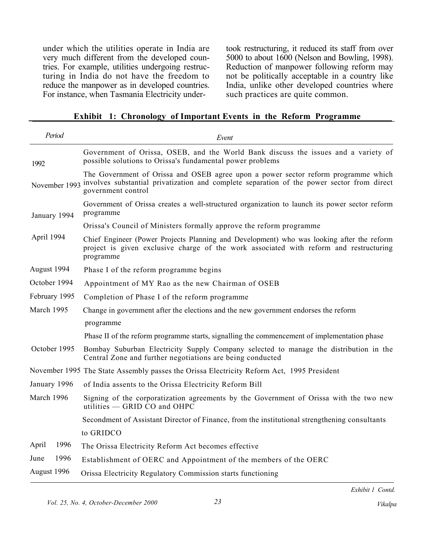under which the utilities operate in India are very much different from the developed countries. For example, utilities undergoing restructuring in India do not have the freedom to reduce the manpower as in developed countries. For instance, when Tasmania Electricity undertook restructuring, it reduced its staff from over 5000 to about 1600 (Nelson and Bowling, 1998). Reduction of manpower following reform may not be politically acceptable in a country like India, unlike other developed countries where such practices are quite common.

#### **Exhibit 1: Chronology of Important Events in the Reform Programme**

| Period        | Event                                                                                                                                                                                                                |  |  |
|---------------|----------------------------------------------------------------------------------------------------------------------------------------------------------------------------------------------------------------------|--|--|
| 1992          | Government of Orissa, OSEB, and the World Bank discuss the issues and a variety of<br>possible solutions to Orissa's fundamental power problems                                                                      |  |  |
|               | The Government of Orissa and OSEB agree upon a power sector reform programme which<br>November 1993 involves substantial privatization and complete separation of the power sector from direct<br>government control |  |  |
| January 1994  | Government of Orissa creates a well-structured organization to launch its power sector reform<br>programme                                                                                                           |  |  |
|               | Orissa's Council of Ministers formally approve the reform programme                                                                                                                                                  |  |  |
| April 1994    | Chief Engineer (Power Projects Planning and Development) who was looking after the reform<br>project is given exclusive charge of the work associated with reform and restructuring<br>programme                     |  |  |
| August 1994   | Phase I of the reform programme begins                                                                                                                                                                               |  |  |
| October 1994  | Appointment of MY Rao as the new Chairman of OSEB                                                                                                                                                                    |  |  |
| February 1995 | Completion of Phase I of the reform programme                                                                                                                                                                        |  |  |
| March 1995    | Change in government after the elections and the new government endorses the reform                                                                                                                                  |  |  |
|               | programme                                                                                                                                                                                                            |  |  |
|               | Phase II of the reform programme starts, signalling the commencement of implementation phase                                                                                                                         |  |  |
| October 1995  | Bombay Suburban Electricity Supply Company selected to manage the distribution in the<br>Central Zone and further negotiations are being conducted                                                                   |  |  |
|               | November 1995 The State Assembly passes the Orissa Electricity Reform Act, 1995 President                                                                                                                            |  |  |
| January 1996  | of India assents to the Orissa Electricity Reform Bill                                                                                                                                                               |  |  |
| March 1996    | Signing of the corporatization agreements by the Government of Orissa with the two new<br>utilities - GRID CO and OHPC                                                                                               |  |  |
|               | Secondment of Assistant Director of Finance, from the institutional strengthening consultants                                                                                                                        |  |  |
|               | to GRIDCO                                                                                                                                                                                                            |  |  |
| 1996<br>April | The Orissa Electricity Reform Act becomes effective                                                                                                                                                                  |  |  |
| 1996<br>June  | Establishment of OERC and Appointment of the members of the OERC                                                                                                                                                     |  |  |
| August 1996   | Orissa Electricity Regulatory Commission starts functioning                                                                                                                                                          |  |  |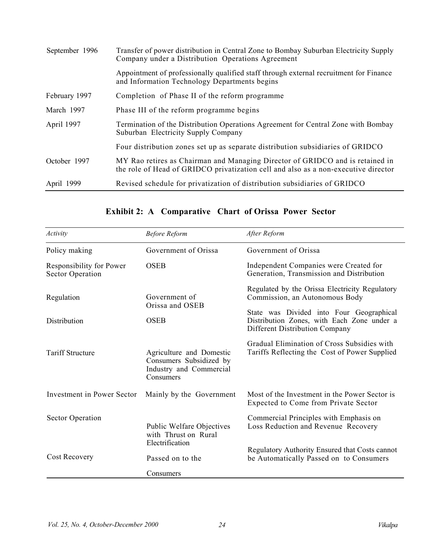| September 1996 | Transfer of power distribution in Central Zone to Bombay Suburban Electricity Supply<br>Company under a Distribution Operations Agreement                           |  |
|----------------|---------------------------------------------------------------------------------------------------------------------------------------------------------------------|--|
|                | Appointment of professionally qualified staff through external recruitment for Finance<br>and Information Technology Departments begins                             |  |
| February 1997  | Completion of Phase II of the reform programme                                                                                                                      |  |
| March 1997     | Phase III of the reform programme begins                                                                                                                            |  |
| April 1997     | Termination of the Distribution Operations Agreement for Central Zone with Bombay<br>Suburban Electricity Supply Company                                            |  |
|                | Four distribution zones set up as separate distribution subsidiaries of GRIDCO                                                                                      |  |
| October 1997   | MY Rao retires as Chairman and Managing Director of GRIDCO and is retained in<br>the role of Head of GRIDCO privatization cell and also as a non-executive director |  |
| April 1999     | Revised schedule for privatization of distribution subsidiaries of GRIDCO                                                                                           |  |

| Activity                                            | <b>Before Reform</b>                                                                        | After Reform                                                                                                             |  |  |
|-----------------------------------------------------|---------------------------------------------------------------------------------------------|--------------------------------------------------------------------------------------------------------------------------|--|--|
| Policy making                                       | Government of Orissa                                                                        | Government of Orissa                                                                                                     |  |  |
| Responsibility for Power<br><b>Sector Operation</b> | <b>OSEB</b>                                                                                 | Independent Companies were Created for<br>Generation, Transmission and Distribution                                      |  |  |
| Regulation                                          | Government of<br>Orissa and OSEB                                                            | Regulated by the Orissa Electricity Regulatory<br>Commission, an Autonomous Body                                         |  |  |
| Distribution                                        | <b>OSEB</b>                                                                                 | State was Divided into Four Geographical<br>Distribution Zones, with Each Zone under a<br>Different Distribution Company |  |  |
| <b>Tariff Structure</b>                             | Agriculture and Domestic<br>Consumers Subsidized by<br>Industry and Commercial<br>Consumers | Gradual Elimination of Cross Subsidies with<br>Tariffs Reflecting the Cost of Power Supplied                             |  |  |
| Investment in Power Sector                          | Mainly by the Government                                                                    | Most of the Investment in the Power Sector is<br>Expected to Come from Private Sector                                    |  |  |
| <b>Sector Operation</b>                             | Public Welfare Objectives<br>with Thrust on Rural                                           | Commercial Principles with Emphasis on<br>Loss Reduction and Revenue Recovery                                            |  |  |
| Cost Recovery                                       | Electrification<br>Passed on to the                                                         | Regulatory Authority Ensured that Costs cannot<br>be Automatically Passed on to Consumers                                |  |  |
|                                                     | Consumers                                                                                   |                                                                                                                          |  |  |

# **Exhibit 2: A Comparative Chart of Orissa Power Sector**